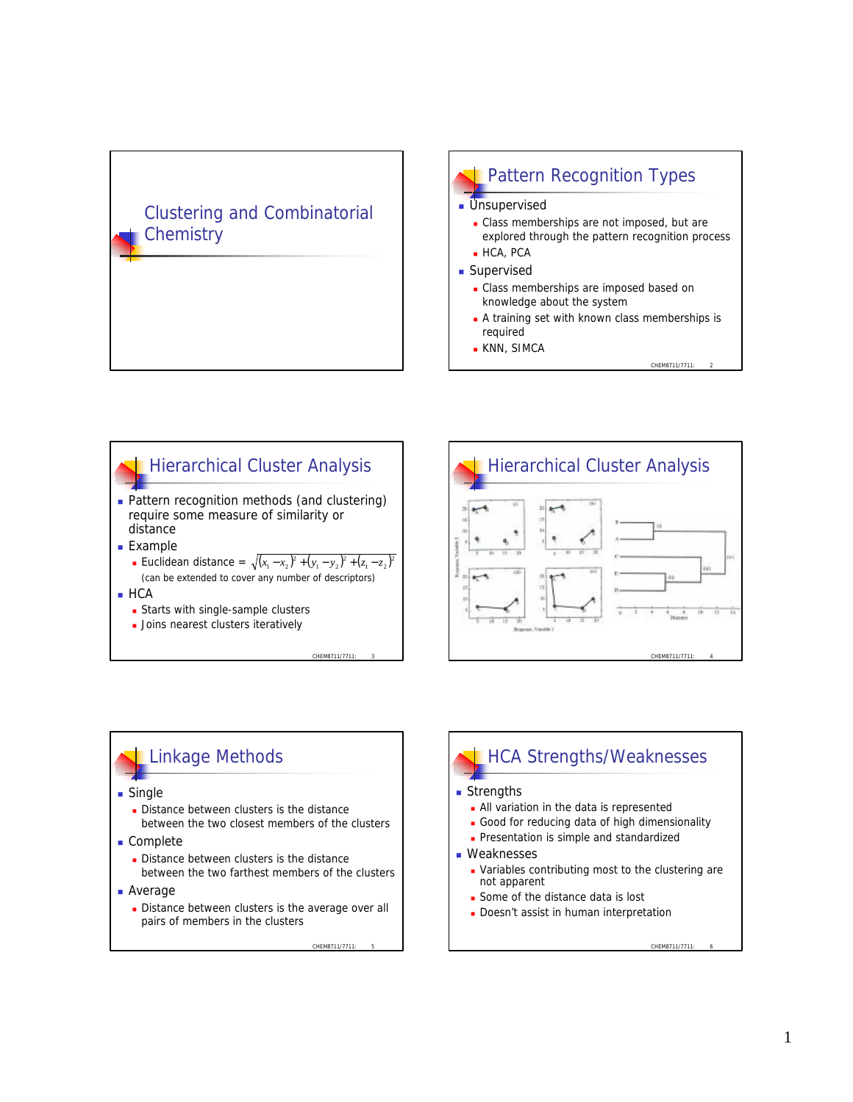### Clustering and Combinatorial **Chemistry**







HCA Strengths/Weaknesses

**Nariables contributing most to the clustering are** 

**All variation in the data is represented Good for reducing data of high dimensionality Presentation is simple and standardized** 

**Some of the distance data is lost** Doesn't assist in human interpretation

 $\blacksquare$  Strengths

**Neaknesses** 

not apparent

# Linkage Methods

- **n** Single
	- Distance between clusters is the distance between the two closest members of the clusters
- Complete
	- Distance between clusters is the distance between the two farthest members of the clusters
- **Average** 
	- Distance between clusters is the average over all pairs of members in the clusters

CHEM8711/7711

#### CHEM8711/7711: 6

#### 1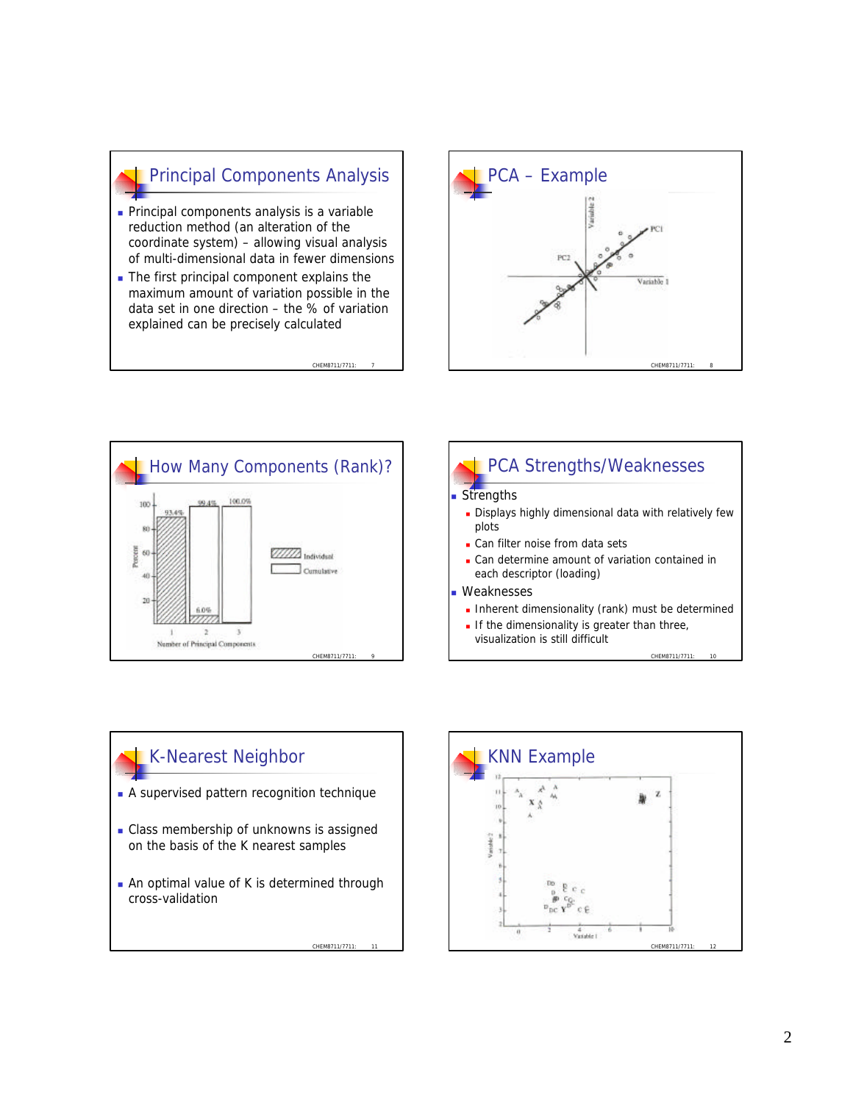# Principal Components Analysis

- **Principal components analysis is a variable** reduction method (an alteration of the coordinate system) – allowing visual analysis of multi-dimensional data in fewer dimensions
- $\blacksquare$  The first principal component explains the maximum amount of variation possible in the data set in one direction – the % of variation explained can be precisely calculated

CHEM8711/771









CHEM8711/7711: 11

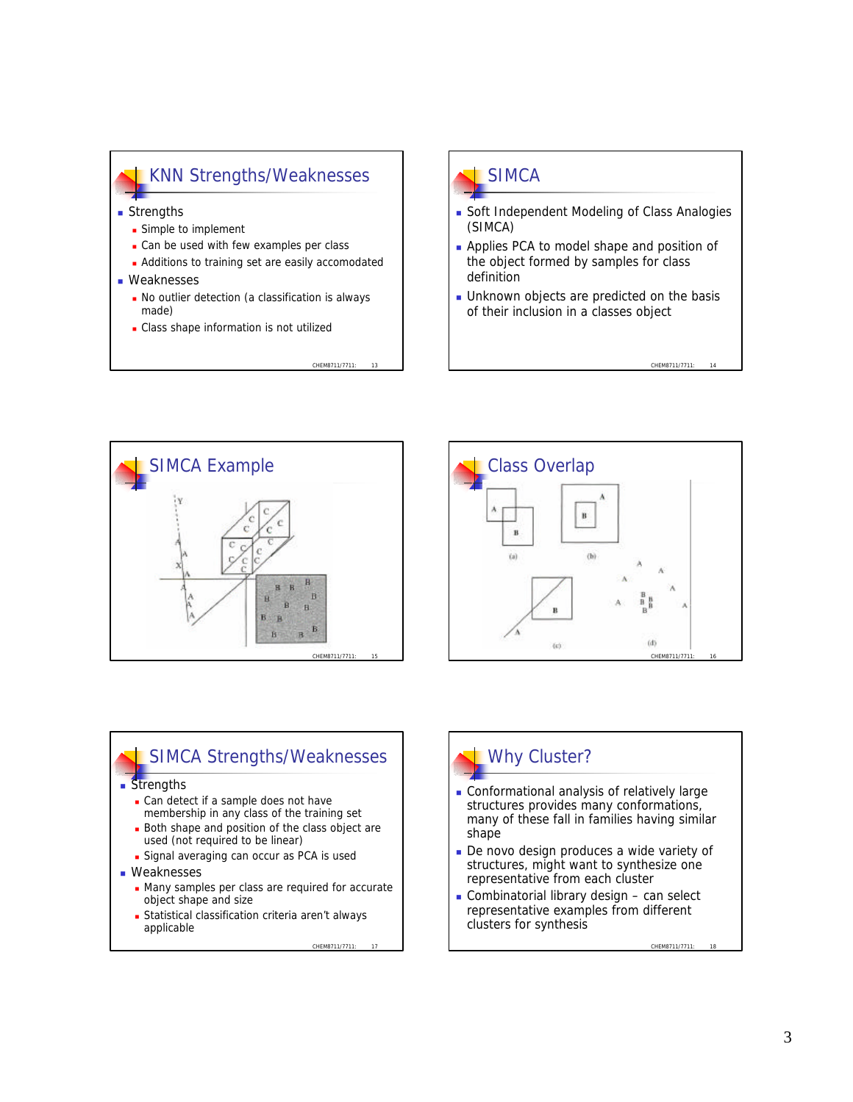### KNN Strengths/Weaknesses

- **n** Strengths
	- **E** Simple to implement
	- Can be used with few examples per class
	- **Additions to training set are easily accomodated**
- **Neaknesses** 
	- No outlier detection (a classification is always made)

CHEM8711/7711

• Class shape information is not utilized

# SIMCA

- **Soft Independent Modeling of Class Analogies** (SIMCA)
- **Applies PCA to model shape and position of** the object formed by samples for class definition
- **.** Unknown objects are predicted on the basis of their inclusion in a classes object

CHEM8711/7711





### SIMCA Strengths/Weaknesses

#### **Strengths**

- Can detect if a sample does not have membership in any class of the training set
- Both shape and position of the class object are used (not required to be linear)
- **n** Signal averaging can occur as PCA is used
- **Neaknesses** 
	- Many samples per class are required for accurate object shape and size
	- **Example 2** Statistical classification criteria aren't always applicable

#### CHEM8711/7711:

# Why Cluster?

- **Conformational analysis of relatively large** structures provides many conformations, many of these fall in families having similar shape
- De novo design produces a wide variety of structures, might want to synthesize one representative from each cluster
- $\blacksquare$  Combinatorial library design can select representative examples from different clusters for synthesis

CHEM8711/7711: